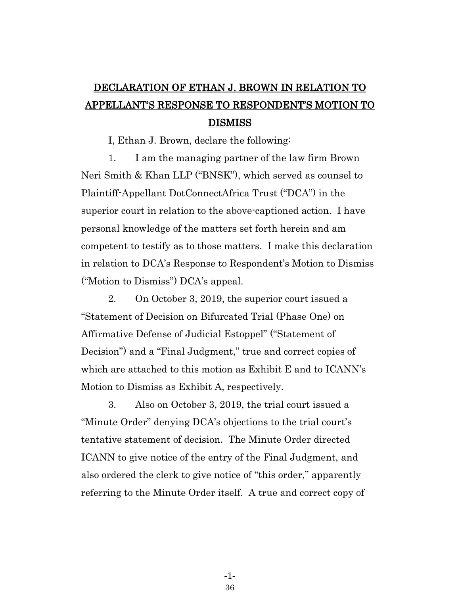## DECLARATION OF ETHAN J. BROWN IN RELATION TO APPELLANT'S RESPONSE TO RESPONDENT'S MOTION TO DISMISS

I, Ethan J. Brown, declare the following:

1. I am the managing partner of the law firm Brown Neri Smith & Khan LLP ("BNSK"), which served as counsel to Plaintiff-Appellant DotConnectAfrica Trust ("DCA") in the superior court in relation to the above-captioned action. I have personal knowledge of the matters set forth herein and am competent to testify as to those matters. I make this declaration in relation to DCA's Response to Respondent's Motion to Dismiss ("Motion to Dismiss") DCA's appeal.

2. On October 3, 2019, the superior court issued a "Statement of Decision on Bifurcated Trial (Phase One) on Affirmative Defense of Judicial Estoppel" ("Statement of Decision") and a "Final Judgment," true and correct copies of which are attached to this motion as Exhibit E and to ICANN's Motion to Dismiss as Exhibit A, respectively.

3. Also on October 3, 2019, the trial court issued a "Minute Order" denying DCA's objections to the trial court's tentative statement of decision. The Minute Order directed ICANN to give notice of the entry of the Final Judgment, and also ordered the clerk to give notice of "this order," apparently referring to the Minute Order itself. A true and correct copy of

> -1- 36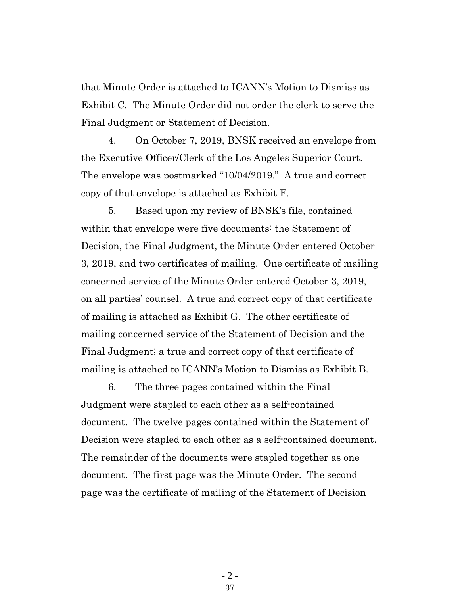that Minute Order is attached to ICANN's Motion to Dismiss as Exhibit C. The Minute Order did not order the clerk to serve the Final Judgment or Statement of Decision.

4. On October 7, 2019, BNSK received an envelope from the Executive Officer/Clerk of the Los Angeles Superior Court. The envelope was postmarked "10/04/2019." A true and correct copy of that envelope is attached as Exhibit F.

5. Based upon my review of BNSK's file, contained within that envelope were five documents: the Statement of Decision, the Final Judgment, the Minute Order entered October 3, 2019, and two certificates of mailing. One certificate of mailing concerned service of the Minute Order entered October 3, 2019, on all parties' counsel. A true and correct copy of that certificate of mailing is attached as Exhibit G. The other certificate of mailing concerned service of the Statement of Decision and the Final Judgment; a true and correct copy of that certificate of mailing is attached to ICANN's Motion to Dismiss as Exhibit B.

6. The three pages contained within the Final Judgment were stapled to each other as a self-contained document. The twelve pages contained within the Statement of Decision were stapled to each other as a self-contained document. The remainder of the documents were stapled together as one document. The first page was the Minute Order. The second page was the certificate of mailing of the Statement of Decision